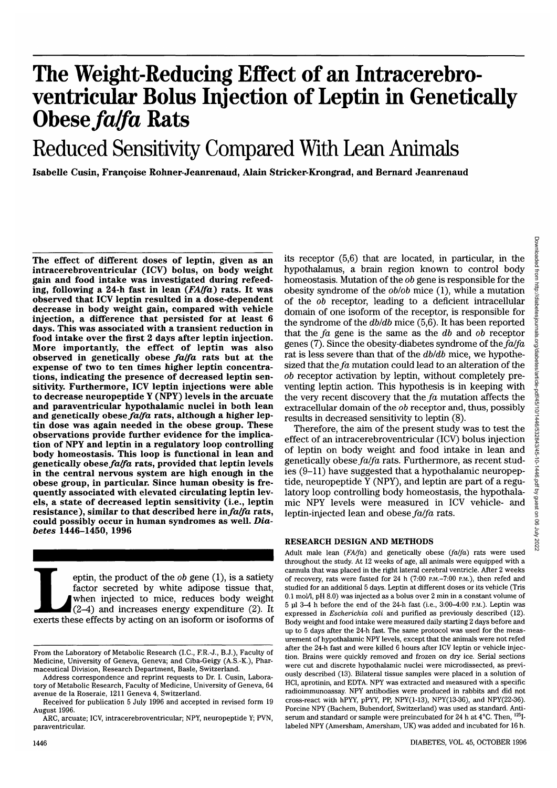# **The Weight-Reducing Effect of an Intracerebro- ventricular Bolus Injection of Leptin in Genetically Obese** *fa/fa* **Rats**

# Reduced Sensitivity Compared With Lean Animals

**Isabelle Cusin, Franchise Rohner-Jeanrenaud, Alain Stricker-Krongrad, and Bernard Jeanrenaud**

**The effect of different doses of leptin, given as an intracerebroventricular (ICV) bolus, on body weight ing, following a 24-h fast in lean** *(FAIfa)* rats. It was **observed that ICV leptin resulted in a dose-dependent decrease in body weight gain, compared with vehicle injection, a difference that persisted for at least 6 days. This was associated with a transient reduction in food intake over the first 2 days after leptin injection. More importantly, the effect of leptin was also observed in genetically obese** *fa/fa* **rats but at the expense of two to ten times higher leptin concentra- tions, indicating the presence of decreased leptin sen- sitivity. Furthermore, ICV leptin injections were able to decrease neuropeptide Y (NPY) levels in the arcuate and paraventricular hypothalamic nuclei in both lean and genetically obese** *fa/fa* **rats, although a higher lep- tin dose was again needed in the obese group. These observations provide further evidence for the implica- tion of NPY and leptin in a regulatory loop controlling body homeostasis. This loop is functional in lean and genetically obese** *fa/fa* **rats, provided that leptin levels in the central nervous system are high enough in the obese group, in particular. Since human obesity is fre- quently associated with elevated circulating leptin lev- els, a state of decreased leptin sensitivity (i.e., leptin resistance), similar to that described here** *infa/fa* **rats, could possibly occur in human syndromes as well.** *Diabetes* **1446-1450, 1996**

eptin, the product of the *ob* gene (1), is a satiety factor secreted by white adipose tissue that, when injected to mice, reduces body weight (2–4) and increases energy expenditure (2). It exerts these effects by acting o factor secreted by white adipose tissue that, when injected to mice, reduces body weight (2-4) and increases energy expenditure (2). It its receptor (5,6) that are located, in particular, in the hypothalamus, a brain region known to control body homeostasis. Mutation of the *ob* gene is responsible for the obesity syndrome of the *oblob* mice (1), while a mutation of the *ob* receptor, leading to a deficient intracellular domain of one isoform of the receptor, is responsible for the syndrome of the *dbldb* mice (5,6). It has been reported that the *fa* gene is the same as the *db* and *ob* receptor genes (7). Since the obesity-diabetes syndrome of the *fa/fa* rat is less severe than that of the *dbldb* mice, we hypothesized that the *fa* mutation could lead to an alteration of the *ob* receptor activation by leptin, without completely preventing leptin action. This hypothesis is in keeping with the very recent discovery that the *fa* mutation affects the extracellular domain of the *ob* receptor and, thus, possibly results in decreased sensitivity to leptin (8).

Therefore, the aim of the present study was to test the effect of an intracerebroventricular (ICV) bolus injection of leptin on body weight and food intake in lean and genetically obese *fa/fa* rats. Furthermore, as recent studies (9-11) have suggested that a hypothalamic neuropeptide, neuropeptide Y (NPY), and leptin are part of a regulatory loop controlling body homeostasis, the hypothalamic NPY levels were measured in ICV vehicle- and leptin-injected lean and obese *fa/fa* rats.

### **RESEARCH DESIGN AND METHODS**

Adult male lean *(FA/fa)* and genetically obese *(fa/fa)* rats were used throughout the study. At 12 weeks of age, all animals were equipped with a cannula that was placed in the right lateral cerebral ventricle. After 2 weeks of recovery, rats were fasted for 24 h (7:00 P.M.-7:00 P.M.), then refed and studied for an additional 5 days. Leptin at different doses or its vehicle (Tris 0.1 mol/1, pH 8.0) was injected as a bolus over 2 min in a constant volume of 5 ul 3-4 h before the end of the 24-h fast (i.e., 3:00-4:00 P.M.). Leptin was expressed in *Escherichia coli* and purified as previously described (12). Body weight and food intake were measured daily starting 2 days before and up to 5 days after the 24-h fast. The same protocol was used for the measurement of hypothalamic NPY levels, except that the animals were not refed after the 24-h fast and were killed 6 hours after ICV leptin or vehicle injection. Brains were quickly removed and frozen on dry ice. Serial sections were cut and discrete hypothalamic nuclei were microdissected, as previously described (13). Bilateral tissue samples were placed in a solution of HC1, aprotinin, and EDTA. NPY was extracted and measured with a specific radioimmunoassay. NPY antibodies were produced in rabbits and did not cross-react with hPYY, pPYY, PP, NPY(1-13), NPY(13-36), and NPY(22-36). Porcine NPY (Bachem, Bubendorf, Switzerland) was used as standard. Antiserum and standard or sample were preincubated for 24 h at 4°C. Then, <sup>125</sup>I labeled NPY (Amersham, Amersham, UK) was added and incubated for 16 h.

From the Laboratory of Metabolic Research (I.C., F.R.-J., B.J.). Faculty of Medicine, University of Geneva, Geneva; and Ciba-Geigy (A.S.-K.), Pharmaceutical Division, Research Department, Basle, Switzerland.

Address correspondence and reprint requests to Dr. I. Cusin, Laboratory of Metabolic Research, Faculty of Medicine, University of Geneva, 64 avenue de la Roseraie, 1211 Geneva 4, Switzerland.

Received for publication 5 July 1996 and accepted in revised form 19 August 1996.

ARC, arcuate; ICV, intracerebroventricular; NPY, neuropeptide Y; PVN, paraventricular.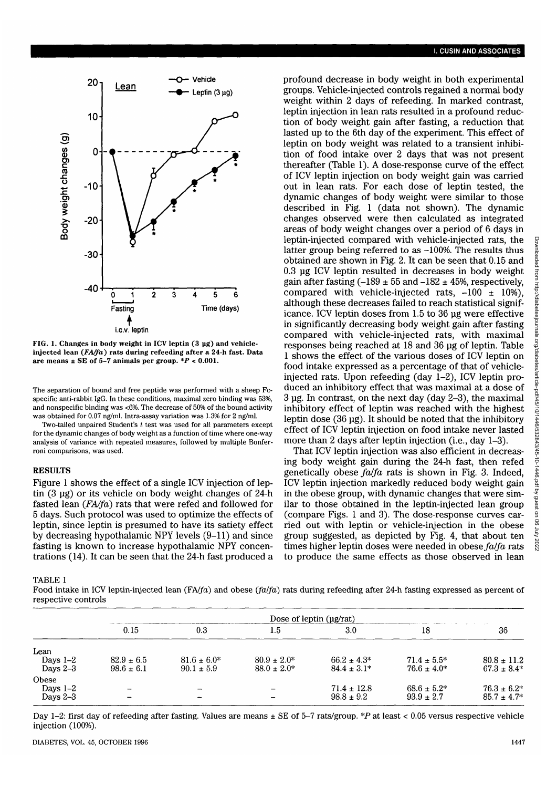

**FIG. 1. Changes in body weight in ICV leptin (3 ug) and vehicleinjected lean** *(FA/fa)* **rats during refeeding after a 24-h fast. Data are means ± SE of 5-7 animals per group.** *\*P <* **0.001.**

The separation of bound and free peptide was performed with a sheep Fcspecific anti-rabbit IgG. In these conditions, maximal zero binding was 53%, and nonspecific binding was <6%. The decrease of 50% of the bound activity was obtained for 0.07 ng/ml. Intra-assay variation was 1.3% for 2 ng/ml.

Two-tailed unpaired Student's *t* test was used for all parameters except for the dynamic changes of body weight as a function of time where one-way analysis of variance with repeated measures, followed by multiple Bonferroni comparisons, was used.

## **RESULTS**

Figure 1 shows the effect of a single ICV injection of lep tin (3 ug) or its vehicle on body weight changes of 24-h fasted lean *{FA/fd)* rats that were refed and followed for 5 days. Such protocol was used to optimize the effects of leptin, since leptin is presumed to have its satiety effect by decreasing hypothalamic NPY levels (9-11) and since fasting is known to increase hypothalamic NPY concen trations (14). It can be seen that the 24-h fast produced a

TABLE 1

Food intake in ICV leptin-injected lean *(FA/fa)* and obese *(fa/fa)* rats during refeeding after 24-h fasting expressed as percent of respective controls

|                                   | Dose of leptin $(\mu g/rat)$     |                                    |                                      |                                    |                                     |                                     |
|-----------------------------------|----------------------------------|------------------------------------|--------------------------------------|------------------------------------|-------------------------------------|-------------------------------------|
|                                   | 0.15                             | 0.3                                | 1.5                                  | 3.0                                | 18                                  | 36                                  |
| Lean<br>Days $1-2$<br>Days $2-3$  | $82.9 \pm 6.5$<br>$98.6 \pm 6.1$ | $81.6 \pm 6.0^*$<br>$90.1 \pm 5.9$ | $80.9 \pm 2.0^*$<br>$88.0 \pm 2.0^*$ | $66.2 \pm 4.3*$<br>$84.4 \pm 3.1*$ | $71.4 \pm 5.5^*$<br>$76.6 \pm 4.0*$ | $80.8 \pm 11.2$<br>$67.3 \pm 8.4*$  |
| Obese<br>Days $1-2$<br>Days $2-3$ |                                  | -                                  | $\overline{\phantom{0}}$             | $71.4 \pm 12.8$<br>$98.8 \pm 9.2$  | $68.6 \pm 5.2^*$<br>$93.9 \pm 2.7$  | $76.3 \pm 6.2^*$<br>$85.7 \pm 4.7*$ |

Day 1-2: first day of refeeding after fasting. Values are means ± SE of 5-7 rats/group. *\*P* at least < 0.05 versus respective vehicle injection (100%).

profound decrease in body weight in both experimental groups. Vehicle-injected controls regained a normal body weight within 2 days of refeeding. In marked contrast, leptin injection in lean rats resulted in a profound reduction of body weight gain after fasting, a reduction that lasted up to the 6th day of the experiment. This effect of leptin on body weight was related to a transient inhibition of food intake over 2 days that was not present thereafter (Table 1). A dose-response curve of the effect of ICV leptin injection on body weight gain was carried out in lean rats. For each dose of leptin tested, the dynamic changes of body weight were similar to those described in Fig. 1 (data not shown). The dynamic changes observed were then calculated as integrated areas of body weight changes over a period of 6 days in leptin-injected compared with vehicle-injected rats, the latter group being referred to as  $-100\%$ . The results thus obtained are shown in Fig. 2. It can be seen that 0.15 and 0.3 ug ICV leptin resulted in decreases in body weight gain after fasting  $(-189 \pm 55 \text{ and } -182 \pm 45\%$ , respectively, compared with vehicle-injected rats,  $-100 \pm 10\%$ ), although these decreases failed to reach statistical significance. ICV leptin doses from 1.5 to 36 ug were effective in significantly decreasing body weight gain after fasting compared with vehicle-injected rats, with maximal responses being reached at 18 and 36 ug of leptin. Table 1 shows the effect of the various doses of ICV leptin on food intake expressed as a percentage of that of vehicleinjected rats. Upon refeeding (day 1-2), ICV leptin produced an inhibitory effect that was maximal at a dose of 3 ug. In contrast, on the next day (day 2-3), the maximal inhibitory effect of leptin was reached with the highest leptin dose (36 ug). It should be noted that the inhibitory effect of ICV leptin injection on food intake never lasted more than 2 days after leptin injection (i.e., day 1-3).

That ICV leptin injection was also efficient in decreasing body weight gain during the 24-h fast, then refed genetically obese *fa/fa* rats is shown in Fig. 3. Indeed, ICV leptin injection markedly reduced body weight gain in the obese group, with dynamic changes that were similar to those obtained in the leptin-injected lean group (compare Figs. 1 and 3). The dose-response curves carried out with leptin or vehicle-injection in the obese group suggested, as depicted by Fig. 4, that about ten times higher leptin doses were needed in obese *fa/fa* rats to produce the same effects as those observed in lean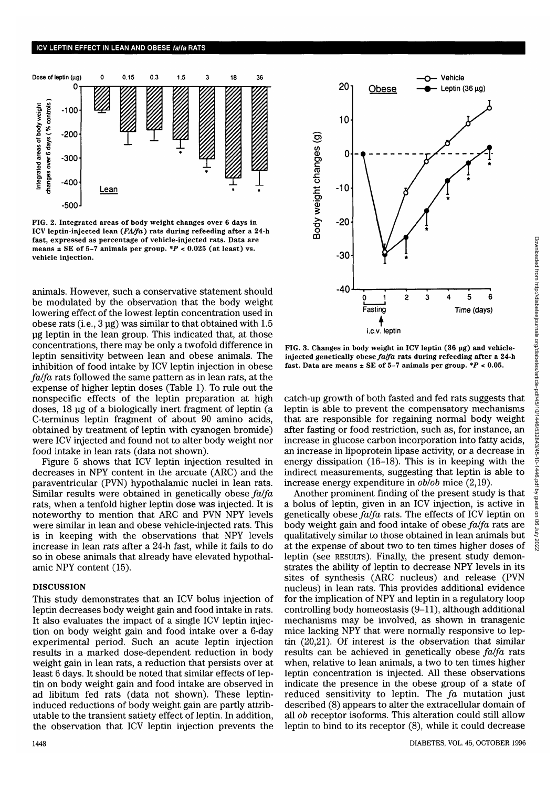

FIG. 2. Integrated areas of body weight changes over 6 days in ICV leptin-injected lean *(FA/fa)* rats during refeeding after a 24-h fast, expressed as percentage of vehicle-injected rats. Data are means  $\pm$  SE of 5-7 animals per group.  $*P < 0.025$  (at least) vs. vehicle injection.

animals. However, such a conservative statement should be modulated by the observation that the body weight lowering effect of the lowest leptin concentration used in obese rats (i.e., 3 ug) was similar to that obtained with 1.5 ug leptin in the lean group. This indicated that, at those concentrations, there may be only a twofold difference in leptin sensitivity between lean and obese animals. The inhibition of food intake by ICV leptin injection in obese *falfa* rats followed the same pattern as in lean rats, at the expense of higher leptin doses (Table 1). To rule out the nonspecific effects of the leptin preparation at high doses, 18 ug of a biologically inert fragment of leptin (a C-terminus leptin fragment of about 90 amino acids, obtained by treatment of leptin with cyanogen bromide) were ICV injected and found not to alter body weight nor food intake in lean rats (data not shown).

Figure 5 shows that ICV leptin injection resulted in decreases in NPY content in the arcuate (ARC) and the paraventricular (PVN) hypothalamic nuclei in lean rats. Similar results were obtained in genetically obese *falfa* rats, when a tenfold higher leptin dose was injected. It is noteworthy to mention that ARC and PVN NPY levels were similar in lean and obese vehicle-injected rats. This is in keeping with the observations that NPY levels increase in lean rats after a 24-h fast, while it fails to do so in obese animals that already have elevated hypothalamic NPY content (15).

### DISCUSSION

This study demonstrates that an ICV bolus injection of leptin decreases body weight gain and food intake in rats. It also evaluates the impact of a single ICV leptin injection on body weight gain and food intake over a 6-day experimental period. Such an acute leptin injection results in a marked dose-dependent reduction in body weight gain in lean rats, a reduction that persists over at least 6 days. It should be noted that similar effects of leptin on body weight gain and food intake are observed in ad libitum fed rats (data not shown). These leptininduced reductions of body weight gain are partly attributable to the transient satiety effect of leptin. In addition, the observation that ICV leptin injection prevents the



FIG. 3. Changes in body weight in ICV leptin (36 ug) and vehicleinjected genetically obese *falfa* rats during refeeding after a 24-h fast. Data are means ± SE of 5-7 animals per group. *\*P <* 0.05.

catch-up growth of both fasted and fed rats suggests that leptin is able to prevent the compensatory mechanisms that are responsible for regaining normal body weight after fasting or food restriction, such as, for instance, an increase in glucose carbon incorporation into fatty acids, an increase in lipoprotein lipase activity, or a decrease in energy dissipation (16-18). This is in keeping with the indirect measurements, suggesting that leptin is able to increase energy expenditure in *ob/ob* mice (2,19).

Another prominent finding of the present study is that a bolus of leptin, given in an ICV injection, is active in genetically obese *falfa* rats. The effects of ICV leptin on body weight gain and food intake of obese *falfa* rats are qualitatively similar to those obtained in lean animals but at the expense of about two to ten times higher doses of leptin (see RESULTS). Finally, the present study demonstrates the ability of leptin to decrease NPY levels in its sites of synthesis (ARC nucleus) and release (PVN nucleus) in lean rats. This provides additional evidence for the implication of NPY and leptin in a regulatory loop controlling body homeostasis (9-11), although additional mechanisms may be involved, as shown in transgenic mice lacking NPY that were normally responsive to leptin (20,21). Of interest is the observation that similar results can be achieved in genetically obese *falfa* rats when, relative to lean animals, a two to ten times higher leptin concentration is injected. All these observations indicate the presence in the obese group of a state of reduced sensitivity to leptin. The *fa* mutation just described (8) appears to alter the extracellular domain of all *ob* receptor isoforms. This alteration could still allow leptin to bind to its receptor (8), while it could decrease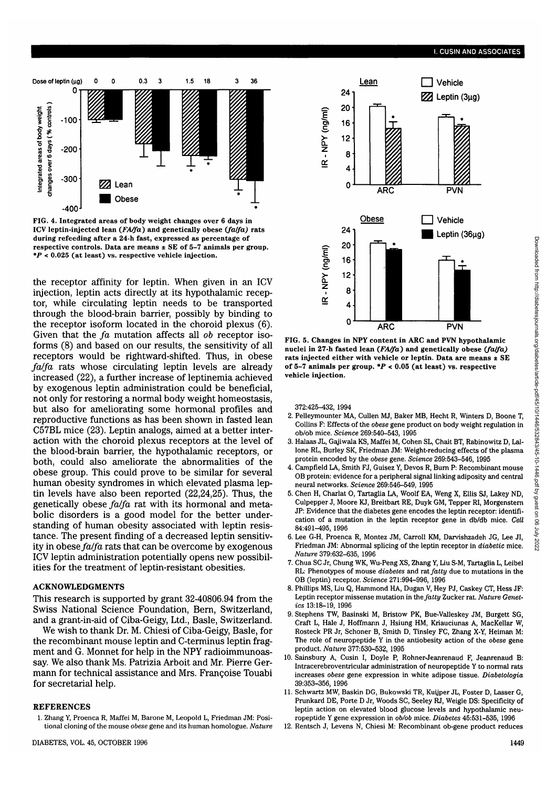

**FIG. 4. Integrated areas of body weight changes over 6 days in ICV leptin-injected lean** *(FA/fa)* **and genetically obese** *(fa/fa)* **rats during refeeding after a 24-h fast, expressed as percentage of respective controls. Data are means ± SE of 5-7 animals per group.** *\*P* **< 0.025 (at least) vs. respective vehicle injection.**

the receptor affinity for leptin. When given in an ICV injection, leptin acts directly at its hypothalamic receptor, while circulating leptin needs to be transported through the blood-brain barrier, possibly by binding to the receptor isoform located in the choroid plexus (6). Given that the *fa* mutation affects all *ob* receptor isoforms (8) and based on our results, the sensitivity of all receptors would be rightward-shifted. Thus, in obese *fa/fa* rats whose circulating leptin levels are already increased (22), a further increase of leptinemia achieved by exogenous leptin administration could be beneficial, not only for restoring a normal body weight homeostasis, but also for ameliorating some hormonal profiles and reproductive functions as has been shown in fasted lean C57BL mice (23). Leptin analogs, aimed at a better interaction with the choroid plexus receptors at the level of the blood-brain barrier, the hypothalamic receptors, or both, could also ameliorate the abnormalities of the obese group. This could prove to be similar for several human obesity syndromes in which elevated plasma leptin levels have also been reported (22,24,25). Thus, the genetically obese *fa/fa* rat with its hormonal and metabolic disorders is a good model for the better understanding of human obesity associated with leptin resistance. The present finding of a decreased leptin sensitivity in obese  $fa/fa$  rats that can be overcome by exogenous ICV leptin administration potentially opens new possibilities for the treatment of leptin-resistant obesities.

#### ACKNOWLEDGMENTS

This research is supported by grant 32-40806.94 from the Swiss National Science Foundation, Bern, Switzerland, and a grant-in-aid of Ciba-Geigy, Ltd., Basle, Switzerland.

We wish to thank Dr. M. Chiesi of Ciba-Geigy, Basle, for the recombinant mouse leptin and C-terminus leptin fragment and G. Monnet for help in the NPY radioimmunoassay. We also thank Ms. Patrizia Arboit and Mr. Pierre Germann for technical assistance and Mrs. Françoise Touabi for secretarial help.

#### REFERENCES

1. Zhang Y, Proenca R, Maffei M, Barone M, Leopold L, Friedman JM: Positional cloning of the mouse *obese* gene and its human homologue. *Nature*



**FIG. 5. Changes in NPY content in ARC and PVN hypothalamic nuclei in 27-h fasted lean** *(FA/fa)* **and genetically obese** *(Jaffa)* **rats injected either with vehicle or leptin. Data are means ± SE of 5-7 animals per group.** *\*P* **< 0.05 (at least) vs. respective vehicle injection.**

372:425-432, 1994

- 2. Pelleymounter MA, Cullen MJ, Baker MB, Hecht R, Winters D, Boone T, Collins F: Effects of the *obese* gene product on body weight regulation in ob/ob mice. *Science* 269:540-543, 1995
- 3. Halaas JL, Gajiwala KS, Maffei M, Cohen SL, Chait BT, Rabinowitz D, Lallone RL, Burley SK, Friedman JM: Weight-reducing effects of the plasma protein encoded by the *obese* gene. *Science* 269:543-546, 1995
- 4. Campfield LA, Smith FJ, Guisez Y, Devos R, Burn P: Recombinant mouse OB protein: evidence for a peripheral signal linking adiposity and central neural networks. *Science* 269:546-549, 1995
- 5. Chen H, Charlat O, Tartaglia LA, Woolf EA, Weng X, Ellis SJ, Lakey ND, Culpepper J, Moore KJ, Breitbart RE, Duyk GM, Tepper RI, Morgenstern JP: Evidence that the diabetes gene encodes the leptin receptor: identification of a mutation in the leptin receptor gene in db/db mice. *Cell* 84:491-495, 1996
- 6. Lee G-H, Proenca R, Montez JM, Carroll KM, Darvishzadeh JG, Lee JI, Friedman JM: Abnormal splicing of the leptin receptor in *diabetic* mice. *Nature* 379:632-635, 1996
- 7. Chua SC Jr, Chung WK, Wu-Peng XS, Zhang Y, Liu S-M, Tartaglia L, Leibel RL: Phenotypes of mouse *diabetes* and rat *fatty* due to mutations in the OB (leptin) receptor. *Science* 271:994-996, 1996
- 8. Phillips MS, Liu Q, Hammond HA, Dugan V, Hey PJ, Caskey CT, Hess JF: Leptin receptor missense mutation in *the fatty* Zucker rat. *Nature Genetics* 13:18-19, 1996
- 9. Stephens TW, Basinski M, Bristow PK, Bue-Valleskey JM, Burgett SG, Craft L, Hale J, Hoffmann J, Hsiung HM, Kriauciunas A, MacKellar W, Rosteck PR Jr, Schoner B, Smith D, Tinsley FC, Zhang X-Y, Heiman M: The role of neuropeptide Y in the antiobesity action of the *obese* gene product. *Nature* 377:530-532, 1995
- 10. Sainsbury A, Cusin I, Doyle P, Rohner-Jeanrenaud F, Jeanrenaud B: Intracerebroventricular administration of neuropeptide Y to normal rats increases *obese* gene expression in white adipose tissue. *Diabetologia* 39:353-356, 1996
- 11. Schwartz MW, Baskin DG, Bukowski TR, Kuyper JL, Foster D, Lasser G, Prunkard DE, Porte D Jr, Woods SC, Seeley RJ, Weigle DS: Specificity of leptin action on elevated blood glucose levels and hypothalamic neuropeptide Y gene expression in 06/06 mice. *Diabetes* 45:531-535, 1996
- 12. Rentsch J, Levens N, Chiesi M: Recombinant ob-gene product reduces